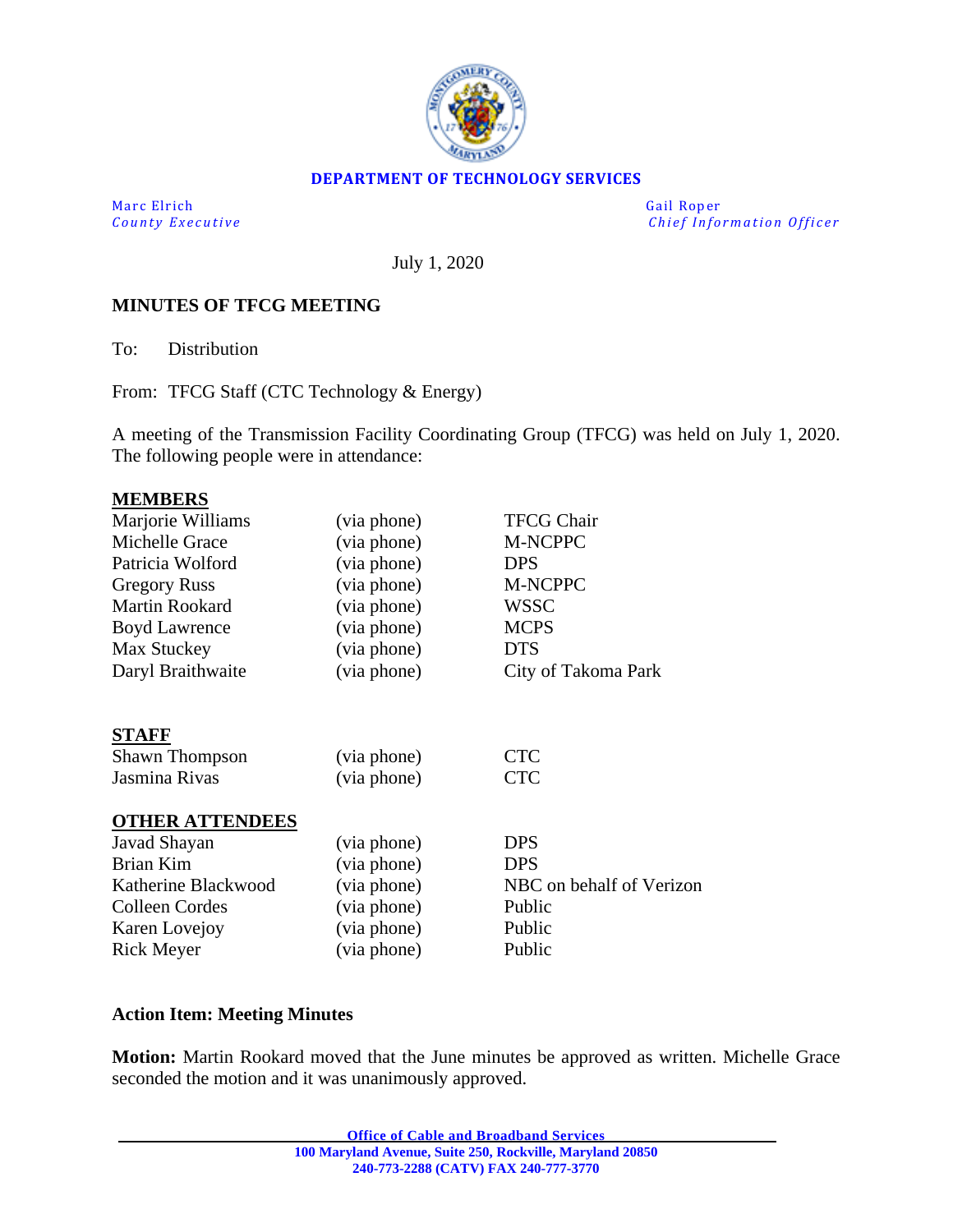

#### **DEPARTMENT OF TECHNOLOGY SERVICES**

Marc Elrich Gail Roper

*County Executive Chief Information O fficer*

July 1, 2020

### **MINUTES OF TFCG MEETING**

To: Distribution

From: TFCG Staff (CTC Technology & Energy)

A meeting of the Transmission Facility Coordinating Group (TFCG) was held on July 1, 2020. The following people were in attendance:

#### **MEMBERS**

| Marjorie Williams      | (via phone) | <b>TFCG Chair</b>        |
|------------------------|-------------|--------------------------|
| Michelle Grace         | (via phone) | M-NCPPC                  |
| Patricia Wolford       | (via phone) | <b>DPS</b>               |
| <b>Gregory Russ</b>    | (via phone) | M-NCPPC                  |
| <b>Martin Rookard</b>  | (via phone) | <b>WSSC</b>              |
| <b>Boyd Lawrence</b>   | (via phone) | <b>MCPS</b>              |
| Max Stuckey            | (via phone) | <b>DTS</b>               |
| Daryl Braithwaite      | (via phone) | City of Takoma Park      |
| <b>STAFF</b>           |             |                          |
| <b>Shawn Thompson</b>  | (via phone) | <b>CTC</b>               |
| Jasmina Rivas          | (via phone) | <b>CTC</b>               |
| <b>OTHER ATTENDEES</b> |             |                          |
| Javad Shayan           | (via phone) | <b>DPS</b>               |
| <b>Brian Kim</b>       | (via phone) | <b>DPS</b>               |
| Katherine Blackwood    | (via phone) | NBC on behalf of Verizon |
| Colleen Cordes         | (via phone) | Public                   |
| Karen Lovejoy          | (via phone) | Public                   |
| <b>Rick Meyer</b>      | (via phone) | Public                   |
|                        |             |                          |

#### **Action Item: Meeting Minutes**

**Motion:** Martin Rookard moved that the June minutes be approved as written. Michelle Grace seconded the motion and it was unanimously approved.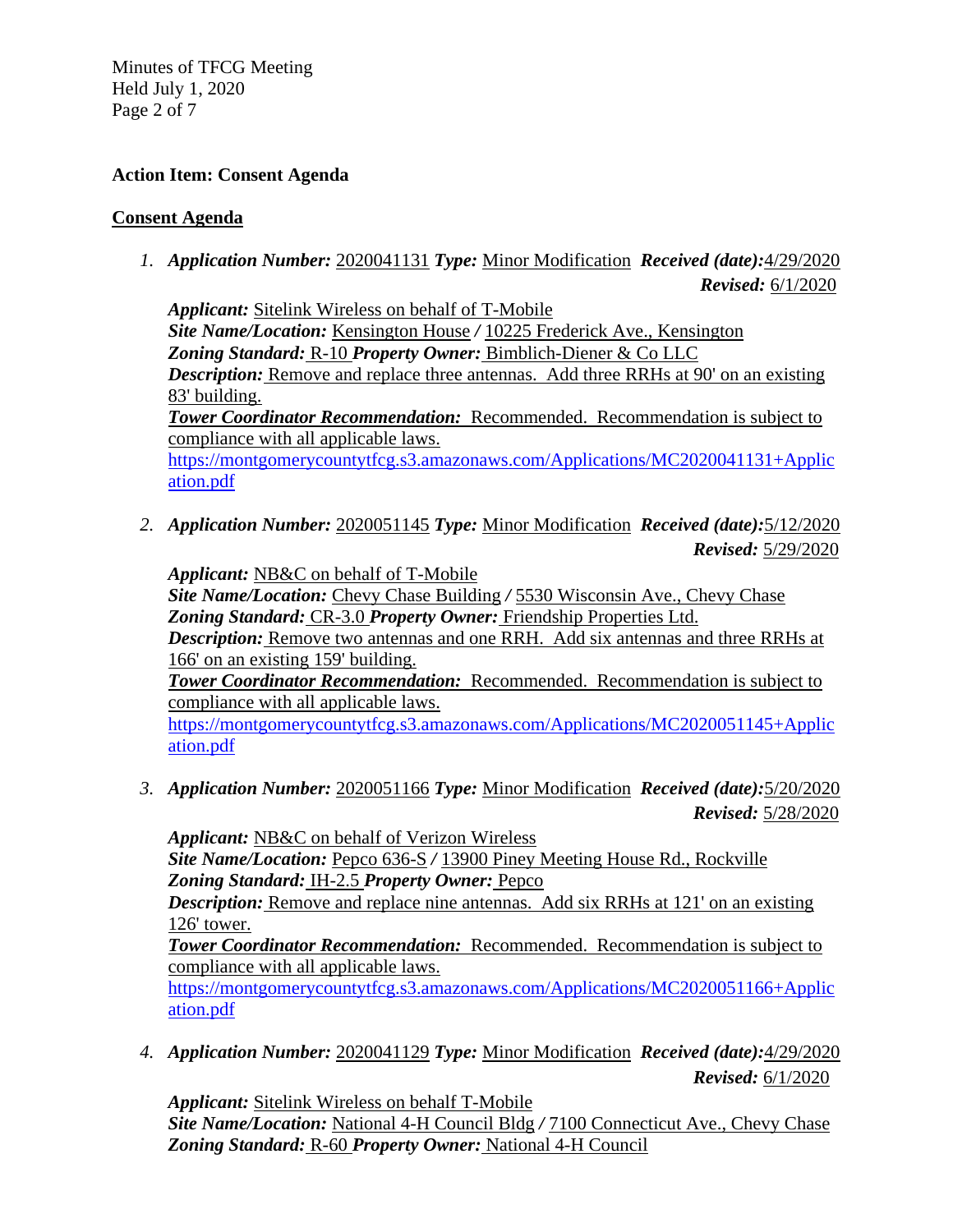Minutes of TFCG Meeting Held July 1, 2020 Page 2 of 7

### **Action Item: Consent Agenda**

### **Consent Agenda**

*1. Application Number:* 2020041131 *Type:* Minor Modification *Received (date):*4/29/2020 *Revised:* 6/1/2020

*Applicant:* Sitelink Wireless on behalf of T-Mobile *Site Name/Location:* Kensington House */* 10225 Frederick Ave., Kensington *Zoning Standard:* R-10 *Property Owner:* Bimblich-Diener & Co LLC *Description:* Remove and replace three antennas. Add three RRHs at 90' on an existing 83' building. *Tower Coordinator Recommendation:* Recommended. Recommendation is subject to compliance with all applicable laws. [https://montgomerycountytfcg.s3.amazonaws.com/Applications/MC2020041131+Applic](https://montgomerycountytfcg.s3.amazonaws.com/Applications/MC2020041131+Application.pdf)

[ation.pdf](https://montgomerycountytfcg.s3.amazonaws.com/Applications/MC2020041131+Application.pdf)

*2. Application Number:* 2020051145 *Type:* Minor Modification *Received (date):*5/12/2020 *Revised:* 5/29/2020

*Applicant:* NB&C on behalf of T-Mobile

*Site Name/Location:* Chevy Chase Building */* 5530 Wisconsin Ave., Chevy Chase *Zoning Standard:* CR-3.0 *Property Owner:* Friendship Properties Ltd. *Description:* Remove two antennas and one RRH. Add six antennas and three RRHs at

166' on an existing 159' building.

*Tower Coordinator Recommendation:* Recommended. Recommendation is subject to compliance with all applicable laws.

[https://montgomerycountytfcg.s3.amazonaws.com/Applications/MC2020051145+Applic](https://montgomerycountytfcg.s3.amazonaws.com/Applications/MC2020051145+Application.pdf) [ation.pdf](https://montgomerycountytfcg.s3.amazonaws.com/Applications/MC2020051145+Application.pdf)

*3. Application Number:* 2020051166 *Type:* Minor Modification *Received (date):*5/20/2020 *Revised:* 5/28/2020

*Applicant:* NB&C on behalf of Verizon Wireless *Site Name/Location:* Pepco 636-S */* 13900 Piney Meeting House Rd., Rockville *Zoning Standard:* IH-2.5 *Property Owner:* Pepco

*Description:* Remove and replace nine antennas. Add six RRHs at 121' on an existing 126' tower.

*Tower Coordinator Recommendation:* Recommended. Recommendation is subject to compliance with all applicable laws.

[https://montgomerycountytfcg.s3.amazonaws.com/Applications/MC2020051166+Applic](https://montgomerycountytfcg.s3.amazonaws.com/Applications/MC2020051166+Application.pdf) [ation.pdf](https://montgomerycountytfcg.s3.amazonaws.com/Applications/MC2020051166+Application.pdf)

*4. Application Number:* 2020041129 *Type:* Minor Modification *Received (date):*4/29/2020 *Revised:* 6/1/2020

*Applicant:* Sitelink Wireless on behalf T-Mobile *Site Name/Location:* National 4-H Council Bldg */* 7100 Connecticut Ave., Chevy Chase *Zoning Standard:* R-60 *Property Owner:* National 4-H Council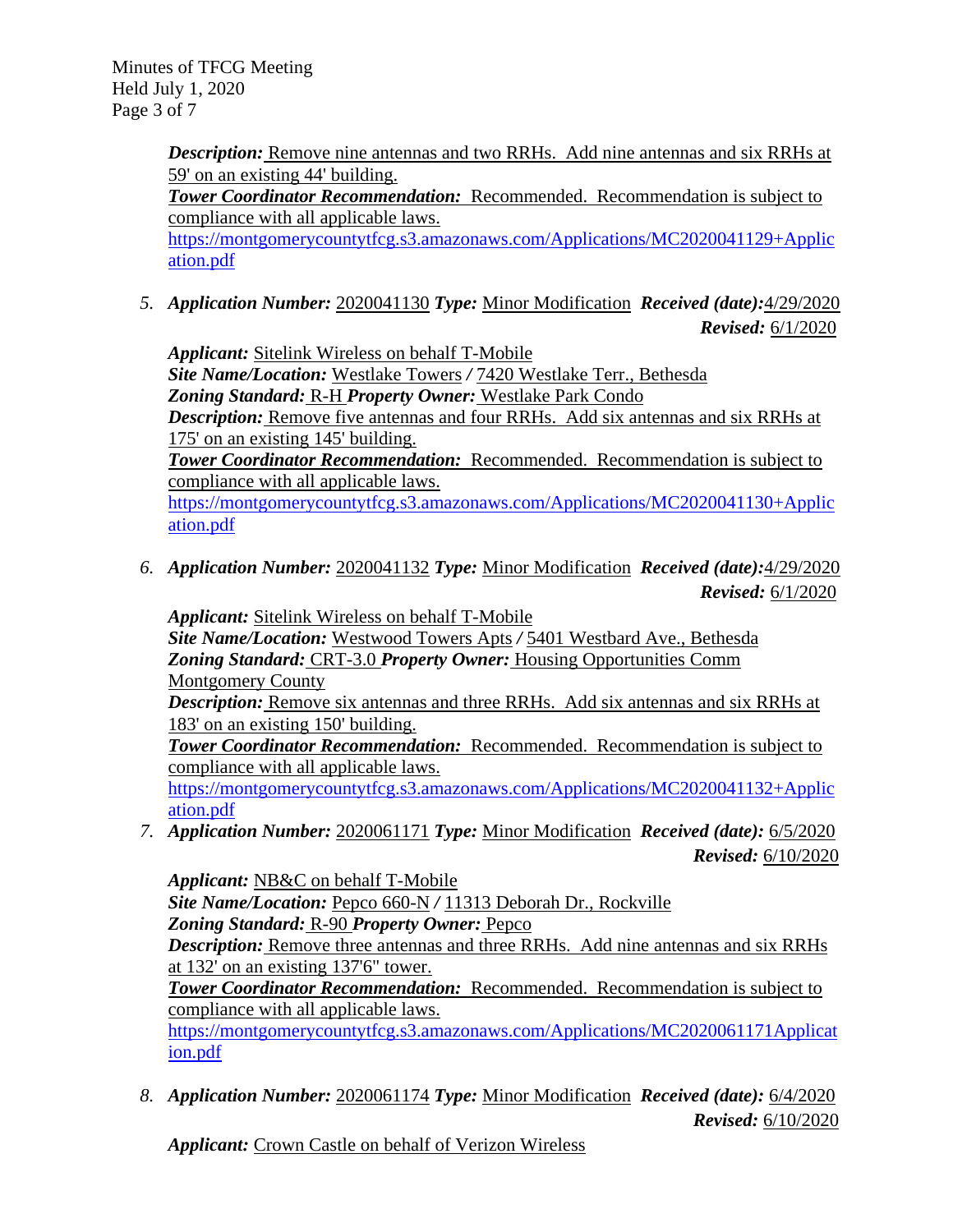Minutes of TFCG Meeting Held July 1, 2020 Page 3 of 7

> **Description:** Remove nine antennas and two RRHs. Add nine antennas and six RRHs at 59' on an existing 44' building.

*Tower Coordinator Recommendation:* Recommended. Recommendation is subject to compliance with all applicable laws.

[https://montgomerycountytfcg.s3.amazonaws.com/Applications/MC2020041129+Applic](https://montgomerycountytfcg.s3.amazonaws.com/Applications/MC2020041129+Application.pdf) [ation.pdf](https://montgomerycountytfcg.s3.amazonaws.com/Applications/MC2020041129+Application.pdf)

*5. Application Number:* 2020041130 *Type:* Minor Modification *Received (date):*4/29/2020

*Revised:* 6/1/2020

*Applicant:* Sitelink Wireless on behalf T-Mobile

*Site Name/Location:* Westlake Towers */* 7420 Westlake Terr., Bethesda *Zoning Standard:* R-H *Property Owner:* Westlake Park Condo

*Description:* Remove five antennas and four RRHs. Add six antennas and six RRHs at 175' on an existing 145' building.

*Tower Coordinator Recommendation:* Recommended. Recommendation is subject to compliance with all applicable laws.

[https://montgomerycountytfcg.s3.amazonaws.com/Applications/MC2020041130+Applic](https://montgomerycountytfcg.s3.amazonaws.com/Applications/MC2020041130+Application.pdf) [ation.pdf](https://montgomerycountytfcg.s3.amazonaws.com/Applications/MC2020041130+Application.pdf)

*6. Application Number:* 2020041132 *Type:* Minor Modification *Received (date):*4/29/2020 *Revised:* 6/1/2020

*Applicant:* Sitelink Wireless on behalf T-Mobile *Site Name/Location:* Westwood Towers Apts */* 5401 Westbard Ave., Bethesda *Zoning Standard:* CRT-3.0 *Property Owner:* Housing Opportunities Comm Montgomery County

*Description:* Remove six antennas and three RRHs. Add six antennas and six RRHs at 183' on an existing 150' building.

*Tower Coordinator Recommendation:* Recommended. Recommendation is subject to compliance with all applicable laws.

[https://montgomerycountytfcg.s3.amazonaws.com/Applications/MC2020041132+Applic](https://montgomerycountytfcg.s3.amazonaws.com/Applications/MC2020041132+Application.pdf) [ation.pdf](https://montgomerycountytfcg.s3.amazonaws.com/Applications/MC2020041132+Application.pdf)

*7. Application Number:* 2020061171 *Type:* Minor Modification *Received (date):* 6/5/2020 *Revised:* 6/10/2020

*Applicant:* NB&C on behalf T-Mobile *Site Name/Location:* Pepco 660-N */* 11313 Deborah Dr., Rockville *Zoning Standard:* R-90 *Property Owner:* Pepco *Description:* Remove three antennas and three RRHs. Add nine antennas and six RRHs at 132' on an existing 137'6" tower. *Tower Coordinator Recommendation:* Recommended. Recommendation is subject to compliance with all applicable laws. [https://montgomerycountytfcg.s3.amazonaws.com/Applications/MC2020061171Applicat](https://montgomerycountytfcg.s3.amazonaws.com/Applications/MC2020061171Application.pdf) [ion.pdf](https://montgomerycountytfcg.s3.amazonaws.com/Applications/MC2020061171Application.pdf)

*8. Application Number:* 2020061174 *Type:* Minor Modification *Received (date):* 6/4/2020 *Revised:* 6/10/2020

*Applicant:* Crown Castle on behalf of Verizon Wireless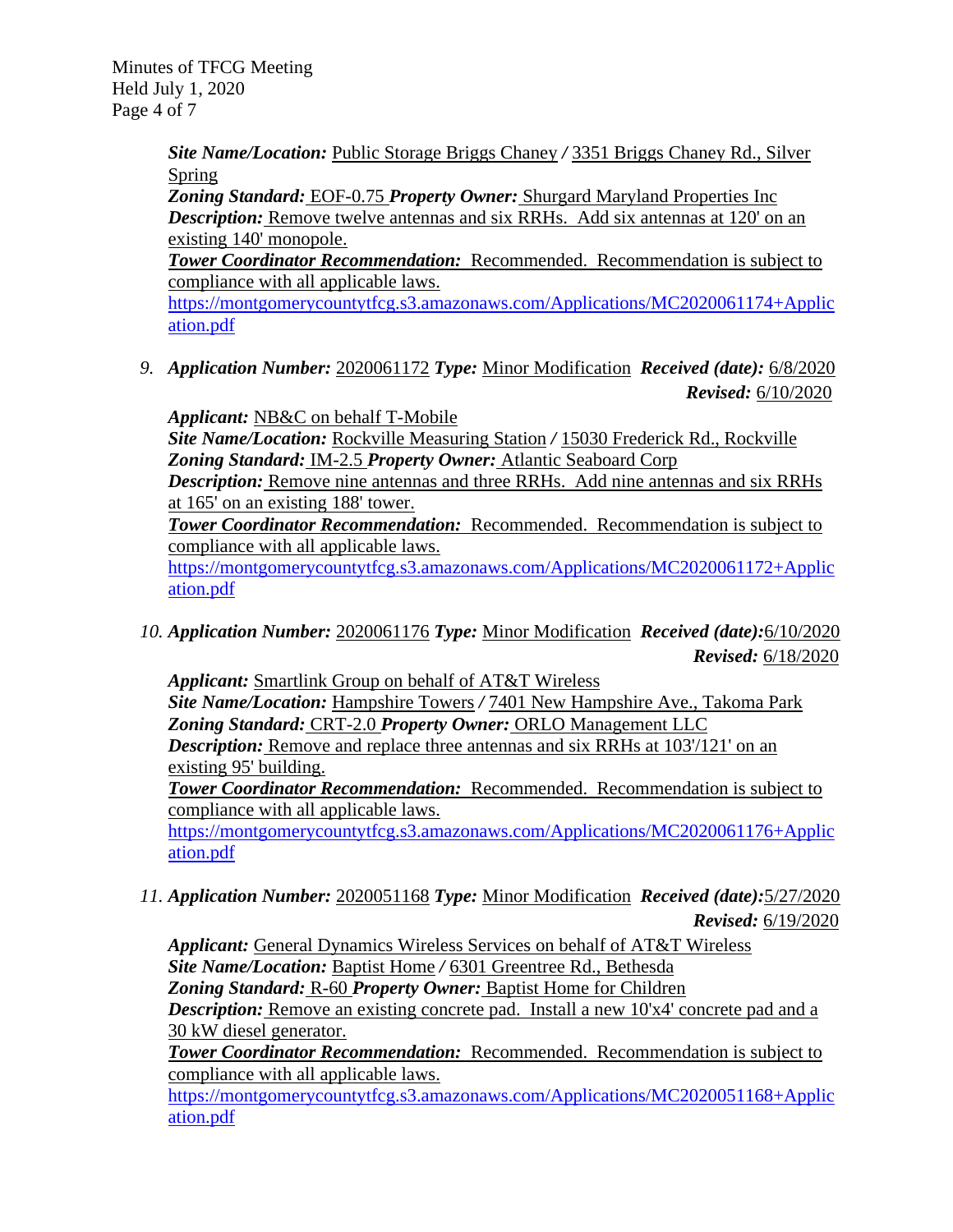Minutes of TFCG Meeting Held July 1, 2020 Page 4 of 7

> *Site Name/Location:* Public Storage Briggs Chaney */* 3351 Briggs Chaney Rd., Silver Spring

> *Zoning Standard:* EOF-0.75 *Property Owner:* Shurgard Maryland Properties Inc *Description:* Remove twelve antennas and six RRHs. Add six antennas at 120' on an existing 140' monopole.

*Tower Coordinator Recommendation:* Recommended. Recommendation is subject to compliance with all applicable laws.

[https://montgomerycountytfcg.s3.amazonaws.com/Applications/MC2020061174+Applic](https://montgomerycountytfcg.s3.amazonaws.com/Applications/MC2020061174+Application.pdf) [ation.pdf](https://montgomerycountytfcg.s3.amazonaws.com/Applications/MC2020061174+Application.pdf)

*9. Application Number:* 2020061172 *Type:* Minor Modification *Received (date):* 6/8/2020 *Revised:* 6/10/2020

*Applicant:* NB&C on behalf T-Mobile

*Site Name/Location:* Rockville Measuring Station */* 15030 Frederick Rd., Rockville *Zoning Standard:* IM-2.5 *Property Owner:* Atlantic Seaboard Corp

*Description:* Remove nine antennas and three RRHs. Add nine antennas and six RRHs at 165' on an existing 188' tower.

*Tower Coordinator Recommendation:* Recommended. Recommendation is subject to compliance with all applicable laws.

[https://montgomerycountytfcg.s3.amazonaws.com/Applications/MC2020061172+Applic](https://montgomerycountytfcg.s3.amazonaws.com/Applications/MC2020061172+Application.pdf) [ation.pdf](https://montgomerycountytfcg.s3.amazonaws.com/Applications/MC2020061172+Application.pdf)

*10. Application Number:* 2020061176 *Type:* Minor Modification *Received (date):*6/10/2020 *Revised:* 6/18/2020

*Applicant:* Smartlink Group on behalf of AT&T Wireless *Site Name/Location:* Hampshire Towers */* 7401 New Hampshire Ave., Takoma Park *Zoning Standard:* CRT-2.0 *Property Owner:* ORLO Management LLC *Description:* Remove and replace three antennas and six RRHs at 103/121' on an existing 95' building.

*Tower Coordinator Recommendation:* Recommended. Recommendation is subject to compliance with all applicable laws.

[https://montgomerycountytfcg.s3.amazonaws.com/Applications/MC2020061176+Applic](https://montgomerycountytfcg.s3.amazonaws.com/Applications/MC2020061176+Application.pdf) [ation.pdf](https://montgomerycountytfcg.s3.amazonaws.com/Applications/MC2020061176+Application.pdf)

*11. Application Number:* 2020051168 *Type:* Minor Modification *Received (date):*5/27/2020 *Revised:* 6/19/2020

*Applicant:* General Dynamics Wireless Services on behalf of AT&T Wireless *Site Name/Location:* Baptist Home */* 6301 Greentree Rd., Bethesda *Zoning Standard:* R-60 *Property Owner:* Baptist Home for Children *Description:* Remove an existing concrete pad. Install a new 10'x4' concrete pad and a 30 kW diesel generator.

*Tower Coordinator Recommendation:* Recommended. Recommendation is subject to compliance with all applicable laws.

[https://montgomerycountytfcg.s3.amazonaws.com/Applications/MC2020051168+Applic](https://montgomerycountytfcg.s3.amazonaws.com/Applications/MC2020051168+Application.pdf) [ation.pdf](https://montgomerycountytfcg.s3.amazonaws.com/Applications/MC2020051168+Application.pdf)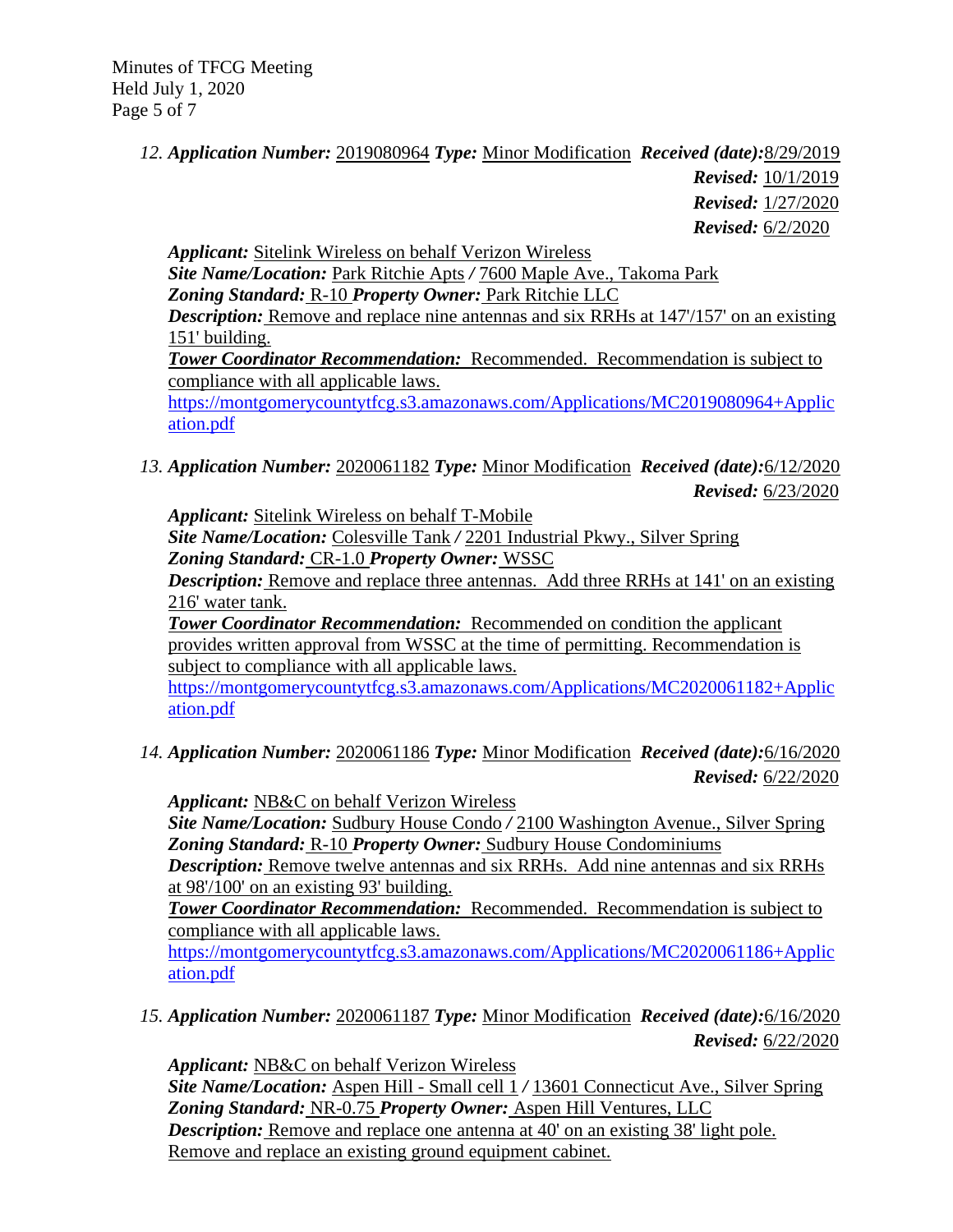Minutes of TFCG Meeting Held July 1, 2020 Page 5 of 7

## *12. Application Number:* 2019080964 *Type:* Minor Modification *Received (date):*8/29/2019 *Revised:* 10/1/2019 *Revised:* 1/27/2020 *Revised:* 6/2/2020

*Applicant:* Sitelink Wireless on behalf Verizon Wireless

*Site Name/Location:* Park Ritchie Apts */* 7600 Maple Ave., Takoma Park *Zoning Standard:* R-10 *Property Owner:* Park Ritchie LLC *Description:* Remove and replace nine antennas and six RRHs at 147/157' on an existing 151' building.

*Tower Coordinator Recommendation:* Recommended. Recommendation is subject to compliance with all applicable laws.

[https://montgomerycountytfcg.s3.amazonaws.com/Applications/MC2019080964+Applic](https://montgomerycountytfcg.s3.amazonaws.com/Applications/MC2019080964+Application.pdf) [ation.pdf](https://montgomerycountytfcg.s3.amazonaws.com/Applications/MC2019080964+Application.pdf)

*13. Application Number:* 2020061182 *Type:* Minor Modification *Received (date):*6/12/2020 *Revised:* 6/23/2020

*Applicant:* Sitelink Wireless on behalf T-Mobile

*Site Name/Location:* Colesville Tank */* 2201 Industrial Pkwy., Silver Spring *Zoning Standard:* CR-1.0 *Property Owner:* WSSC

*Description:* Remove and replace three antennas. Add three RRHs at 141' on an existing 216' water tank.

*Tower Coordinator Recommendation:* Recommended on condition the applicant provides written approval from WSSC at the time of permitting. Recommendation is subject to compliance with all applicable laws.

[https://montgomerycountytfcg.s3.amazonaws.com/Applications/MC2020061182+Applic](https://montgomerycountytfcg.s3.amazonaws.com/Applications/MC2020061182+Application.pdf) [ation.pdf](https://montgomerycountytfcg.s3.amazonaws.com/Applications/MC2020061182+Application.pdf)

*14. Application Number:* 2020061186 *Type:* Minor Modification *Received (date):*6/16/2020 *Revised:* 6/22/2020

*Applicant:* NB&C on behalf Verizon Wireless

*Site Name/Location:* Sudbury House Condo */* 2100 Washington Avenue., Silver Spring *Zoning Standard:* R-10 *Property Owner:* Sudbury House Condominiums

*Description:* Remove twelve antennas and six RRHs. Add nine antennas and six RRHs at 98'/100' on an existing 93' building.

*Tower Coordinator Recommendation:* Recommended. Recommendation is subject to compliance with all applicable laws.

[https://montgomerycountytfcg.s3.amazonaws.com/Applications/MC2020061186+Applic](https://montgomerycountytfcg.s3.amazonaws.com/Applications/MC2020061186+Application.pdf) [ation.pdf](https://montgomerycountytfcg.s3.amazonaws.com/Applications/MC2020061186+Application.pdf)

*15. Application Number:* 2020061187 *Type:* Minor Modification *Received (date):*6/16/2020 *Revised:* 6/22/2020

*Applicant:* NB&C on behalf Verizon Wireless *Site Name/Location:* Aspen Hill - Small cell 1 */* 13601 Connecticut Ave., Silver Spring *Zoning Standard:* NR-0.75 *Property Owner:* Aspen Hill Ventures, LLC *Description:* Remove and replace one antenna at 40' on an existing 38' light pole. Remove and replace an existing ground equipment cabinet.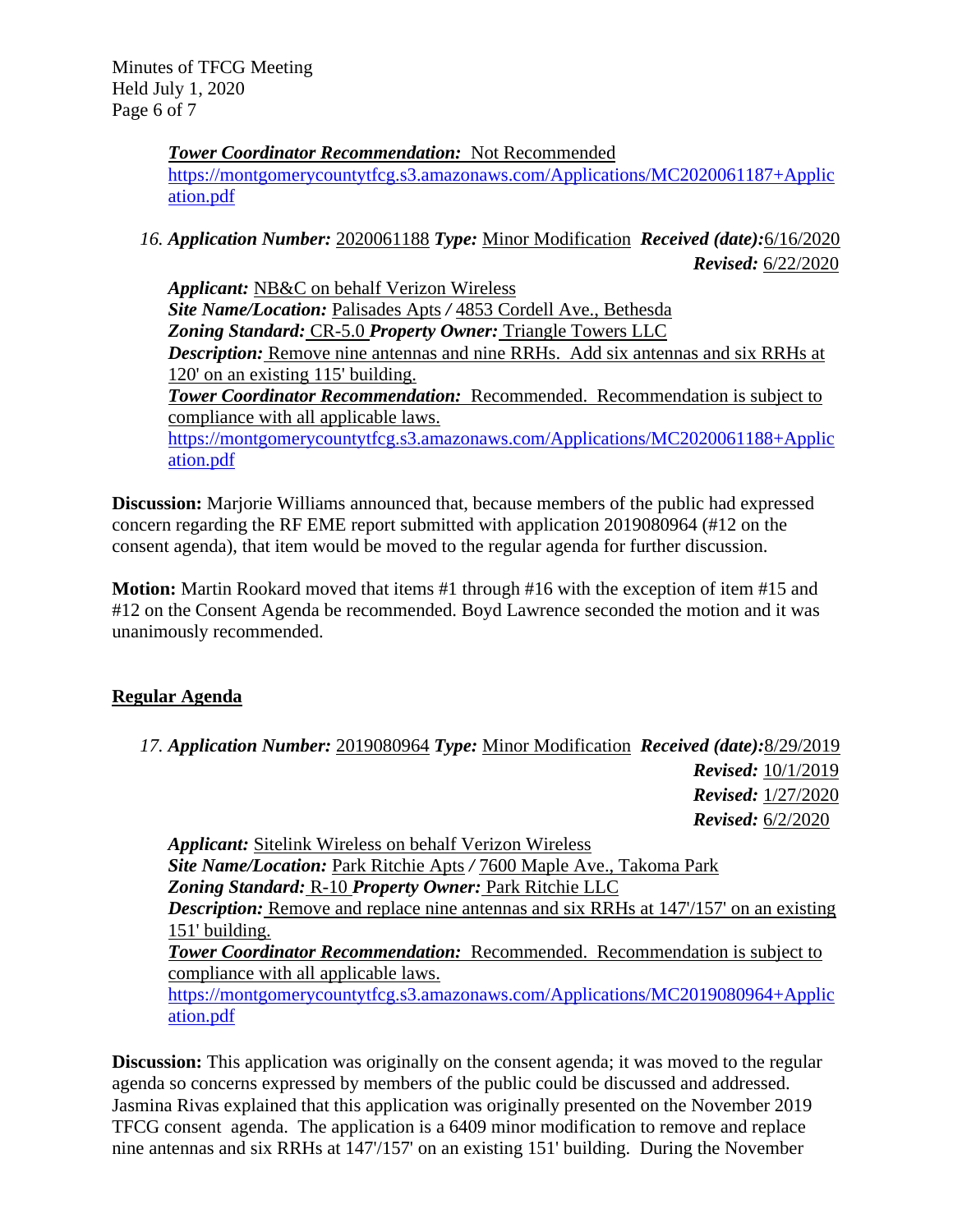Minutes of TFCG Meeting Held July 1, 2020 Page 6 of 7

> *Tower Coordinator Recommendation:* Not Recommended [https://montgomerycountytfcg.s3.amazonaws.com/Applications/MC2020061187+Applic](https://montgomerycountytfcg.s3.amazonaws.com/Applications/MC2020061187+Application.pdf) [ation.pdf](https://montgomerycountytfcg.s3.amazonaws.com/Applications/MC2020061187+Application.pdf)

## *16. Application Number:* 2020061188 *Type:* Minor Modification *Received (date):*6/16/2020 *Revised:* 6/22/2020

*Applicant:* NB&C on behalf Verizon Wireless *Site Name/Location:* Palisades Apts */* 4853 Cordell Ave., Bethesda *Zoning Standard:* CR-5.0 *Property Owner:* Triangle Towers LLC *Description:* Remove nine antennas and nine RRHs. Add six antennas and six RRHs at 120' on an existing 115' building. *Tower Coordinator Recommendation:* Recommended. Recommendation is subject to compliance with all applicable laws. [https://montgomerycountytfcg.s3.amazonaws.com/Applications/MC2020061188+Applic](https://montgomerycountytfcg.s3.amazonaws.com/Applications/MC2020061188+Application.pdf)

[ation.pdf](https://montgomerycountytfcg.s3.amazonaws.com/Applications/MC2020061188+Application.pdf)

**Discussion:** Marjorie Williams announced that, because members of the public had expressed concern regarding the RF EME report submitted with application 2019080964 (#12 on the consent agenda), that item would be moved to the regular agenda for further discussion.

 **Motion:** Martin Rookard moved that items #1 through #16 with the exception of item #15 and #12 on the Consent Agenda be recommended. Boyd Lawrence seconded the motion and it was unanimously recommended.

# **Regular Agenda**

*17. Application Number:* 2019080964 *Type:* Minor Modification *Received (date):*8/29/2019 *Revised:* 10/1/2019 *Revised:* 1/27/2020 *Revised:* 6/2/2020

*Applicant:* Sitelink Wireless on behalf Verizon Wireless *Site Name/Location:* Park Ritchie Apts */* 7600 Maple Ave., Takoma Park *Zoning Standard:* R-10 *Property Owner:* Park Ritchie LLC *Description:* Remove and replace nine antennas and six RRHs at 147/157' on an existing 151' building. *Tower Coordinator Recommendation:* Recommended. Recommendation is subject to compliance with all applicable laws. [https://montgomerycountytfcg.s3.amazonaws.com/Applications/MC2019080964+Applic](https://montgomerycountytfcg.s3.amazonaws.com/Applications/MC2019080964+Application.pdf) [ation.pdf](https://montgomerycountytfcg.s3.amazonaws.com/Applications/MC2019080964+Application.pdf)

**Discussion:** This application was originally on the consent agenda; it was moved to the regular agenda so concerns expressed by members of the public could be discussed and addressed. Jasmina Rivas explained that this application was originally presented on the November 2019 TFCG consent agenda. The application is a 6409 minor modification to remove and replace nine antennas and six RRHs at 147'/157' on an existing 151' building. During the November